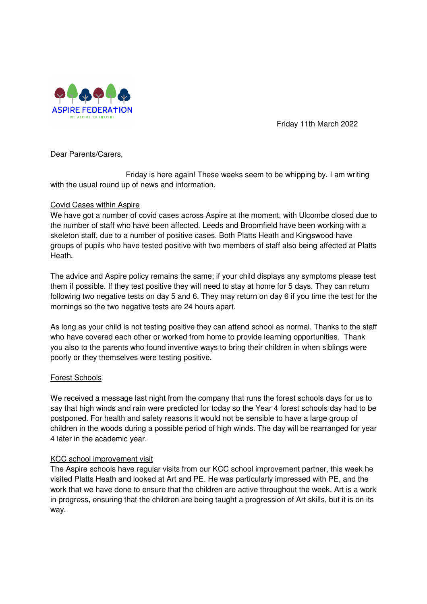

Friday 11th March 2022

Dear Parents/Carers,

 Friday is here again! These weeks seem to be whipping by. I am writing with the usual round up of news and information.

## Covid Cases within Aspire

We have got a number of covid cases across Aspire at the moment, with Ulcombe closed due to the number of staff who have been affected. Leeds and Broomfield have been working with a skeleton staff, due to a number of positive cases. Both Platts Heath and Kingswood have groups of pupils who have tested positive with two members of staff also being affected at Platts Heath.

The advice and Aspire policy remains the same; if your child displays any symptoms please test them if possible. If they test positive they will need to stay at home for 5 days. They can return following two negative tests on day 5 and 6. They may return on day 6 if you time the test for the mornings so the two negative tests are 24 hours apart.

As long as your child is not testing positive they can attend school as normal. Thanks to the staff who have covered each other or worked from home to provide learning opportunities. Thank you also to the parents who found inventive ways to bring their children in when siblings were poorly or they themselves were testing positive.

## Forest Schools

We received a message last night from the company that runs the forest schools days for us to say that high winds and rain were predicted for today so the Year 4 forest schools day had to be postponed. For health and safety reasons it would not be sensible to have a large group of children in the woods during a possible period of high winds. The day will be rearranged for year 4 later in the academic year.

# KCC school improvement visit

The Aspire schools have regular visits from our KCC school improvement partner, this week he visited Platts Heath and looked at Art and PE. He was particularly impressed with PE, and the work that we have done to ensure that the children are active throughout the week. Art is a work in progress, ensuring that the children are being taught a progression of Art skills, but it is on its way.